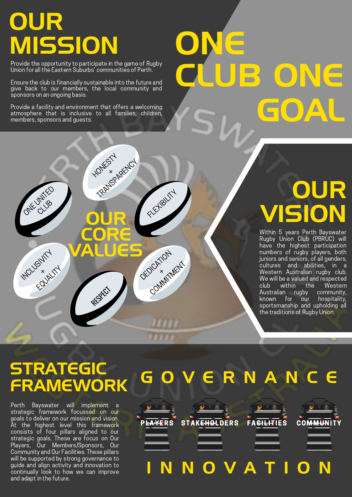### OUR MISSION

ONE CLUB

INCLUSIVITY  $\times$ EQUALITY

Provide the opportunity to participate in the game of Rugby Union for all the Eastern Suburbs' communities of Perth.

Ensure the club is financially sustainable into the future and give back to our members, the local community and sponsors on an ongoing basis.

Provide a facility and environment that offers a welcoming atmosphere that is inclusive to all families, children, members, sponsors and guests.

**HONESTY** 

**OUR** 

CORE

VALUES

TRANSPARENCY

FLEXIBILITY

DEDICATION  $\times$ COMMITMENT

# ONE CLUB ONE GOAL

### **OUR** VISION

Within 5 years Perth Bayswater Rugby Union Club (PBRUC) will have the highest participation numbers of rugby players, both juniors and seniors, of all genders, cultures and abilities, in a Western Australian rugby club. We will be a valued and respected club within the Western Australian rugby community, known for our hospitality, sportsmanship and upholding all the traditions of Rugby Union.

### **STRATEGIC** FRAMEWORK

RESPECT

Perth Bayswater will implement a strategic framework focussed on our goals to deliver on our mission and vision. At the highest level this framework consists of four pillars aligned to our strategic goals. These are focus on Our Players, Our Members/Sponsors, Our Community and Our Facilities. These pillars will be supported by strong governance to guide and align activity and innovation to continually look to how we can improve and adapt in the future.

## R N A N **EAVERS** STAKEHOLDERS O V A FACILITIES COMMUNIT